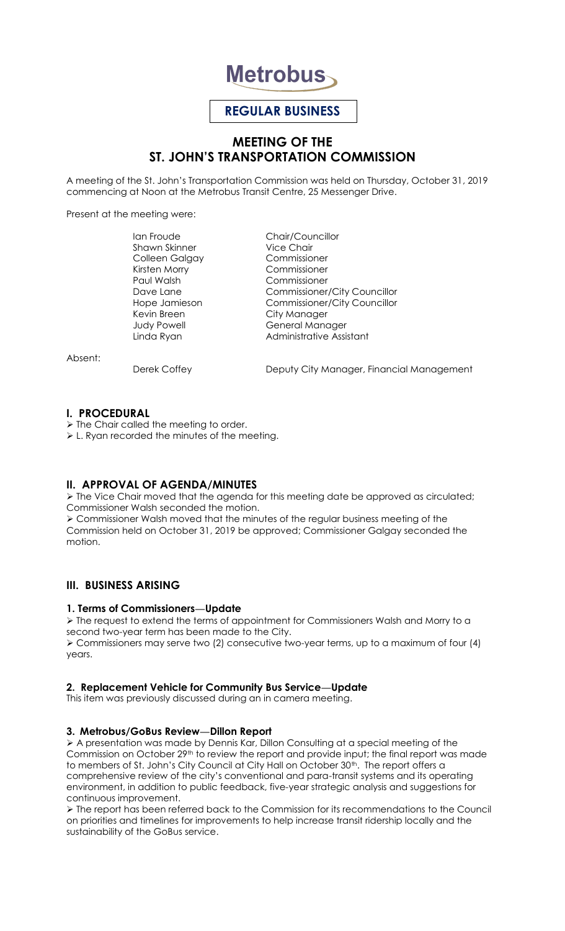

# **REGULAR BUSINESS**

# **MEETING OF THE ST. JOHN'S TRANSPORTATION COMMISSION**

A meeting of the St. John's Transportation Commission was held on Thursday, October 31, 2019 commencing at Noon at the Metrobus Transit Centre, 25 Messenger Drive.

Present at the meeting were:

Shawn Skinner Colleen Galgay Commissioner Kirsten Morry Commissioner Kevin Breen City Manager

Ian Froude<br>
Shawn Skinner<br>
Vice Chair Commissioner Dave Lane Commissioner/City Councillor Hope Jamieson Commissioner/City Councillor Judy Powell **General Manager** Linda Ryan **Administrative Assistant** 

Absent:

Derek Coffey **Deputy City Manager, Financial Management** 

#### **I. PROCEDURAL**

 $\triangleright$  The Chair called the meeting to order.

L. Ryan recorded the minutes of the meeting.

# **II. APPROVAL OF AGENDA/MINUTES**

 $\triangleright$  The Vice Chair moved that the agenda for this meeting date be approved as circulated; Commissioner Walsh seconded the motion.

 Commissioner Walsh moved that the minutes of the regular business meeting of the Commission held on October 31, 2019 be approved; Commissioner Galgay seconded the motion.

# **III. BUSINESS ARISING**

# **1. Terms of Commissioners—Update**

 $\triangleright$  The request to extend the terms of appointment for Commissioners Walsh and Morry to a second two-year term has been made to the City. Commissioners may serve two (2) consecutive two-year terms, up to a maximum of four (4) years.

# **2. Replacement Vehicle for Community Bus Service—Update**

This item was previously discussed during an in camera meeting.

#### **3. Metrobus/GoBus Review—Dillon Report**

 A presentation was made by Dennis Kar, Dillon Consulting at a special meeting of the Commission on October 29<sup>th</sup> to review the report and provide input; the final report was made to members of St. John's City Council at City Hall on October 30<sup>th</sup>. The report offers a comprehensive review of the city's conventional and para-transit systems and its operating environment, in addition to public feedback, five-year strategic analysis and suggestions for continuous improvement.

 The report has been referred back to the Commission for its recommendations to the Council on priorities and timelines for improvements to help increase transit ridership locally and the sustainability of the GoBus service.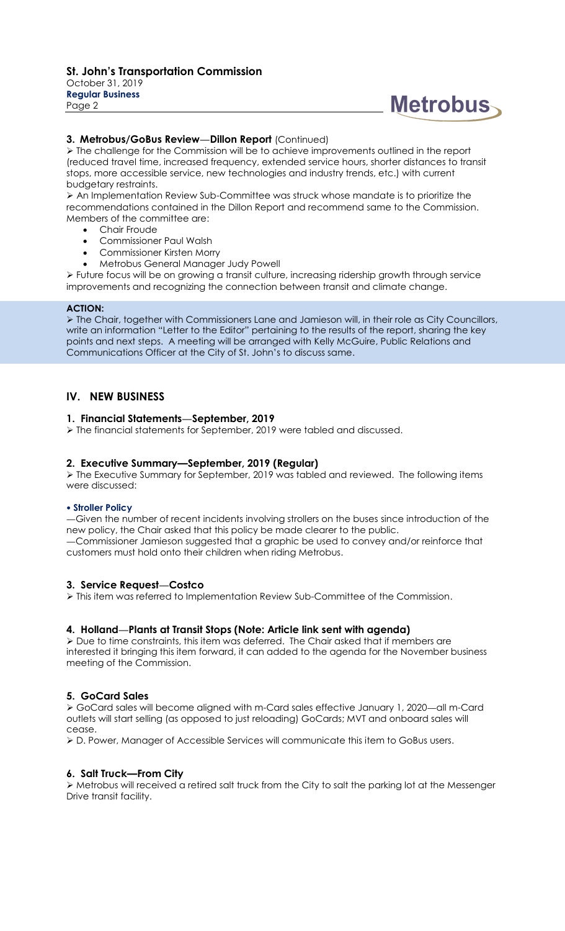October 31, 2019 **Regular Business** Page 2

# **Metrobus**

### **3. Metrobus/GoBus Review—Dillon Report** (Continued)

 $\triangleright$  The challenge for the Commission will be to achieve improvements outlined in the report (reduced travel time, increased frequency, extended service hours, shorter distances to transit stops, more accessible service, new technologies and industry trends, etc.) with current budgetary restraints.

 An Implementation Review Sub-Committee was struck whose mandate is to prioritize the recommendations contained in the Dillon Report and recommend same to the Commission. Members of the committee are:

- Chair Froude
- Commissioner Paul Walsh
- Commissioner Kirsten Morry
- Metrobus General Manager Judy Powell

 Future focus will be on growing a transit culture, increasing ridership growth through service improvements and recognizing the connection between transit and climate change.

#### **ACTION:**

 The Chair, together with Commissioners Lane and Jamieson will, in their role as City Councillors, write an information "Letter to the Editor" pertaining to the results of the report, sharing the key points and next steps. A meeting will be arranged with Kelly McGuire, Public Relations and Communications Officer at the City of St. John's to discuss same.

# **IV. NEW BUSINESS**

# **1. Financial Statements—September, 2019**

 $\triangleright$  The financial statements for September, 2019 were tabled and discussed.

# **2. Executive Summary—September, 2019 (Regular)**

 The Executive Summary for September, 2019 was tabled and reviewed. The following items were discussed:

#### **Stroller Policy**

—Given the number of recent incidents involving strollers on the buses since introduction of the new policy, the Chair asked that this policy be made clearer to the public. —Commissioner Jamieson suggested that a graphic be used to convey and/or reinforce that customers must hold onto their children when riding Metrobus.

# **3. Service Request—Costco**

This item was referred to Implementation Review Sub-Committee of the Commission.

# **4. Holland—Plants at Transit Stops (Note: Article link sent with agenda)**

 $\triangleright$  Due to time constraints, this item was deferred. The Chair asked that if members are interested it bringing this item forward, it can added to the agenda for the November business meeting of the Commission.

# **5. GoCard Sales**

 GoCard sales will become aligned with m-Card sales effective January 1, 2020—all m-Card outlets will start selling (as opposed to just reloading) GoCards; MVT and onboard sales will cease.

D. Power, Manager of Accessible Services will communicate this item to GoBus users.

#### **6. Salt Truck—From City**

 Metrobus will received a retired salt truck from the City to salt the parking lot at the Messenger Drive transit facility.